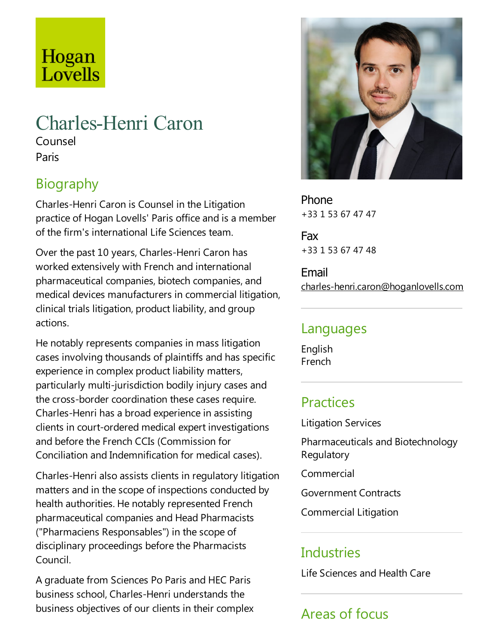# Hogan Lovells

## Charles-Henri Caron

Counsel Paris

### Biography

Charles-Henri Caron is Counsel in the Litigation practice of Hogan Lovells' Paris office and is a member of the firm's international Life Sciences team.

Over the past 10 years, Charles-Henri Caron has worked extensively with French and international pharmaceutical companies, biotech companies, and medical devices manufacturers in commercial litigation, clinical trials litigation, product liability,and group actions.

He notably represents companies in mass litigation cases involving thousands of plaintiffs and has specific experience in complex product liability matters, particularly multi-jurisdiction bodily injury cases and the cross-border coordination these cases require. Charles-Henri has a broad experience in assisting clients in court-ordered medical expert investigations and before the French CCIs (Commission for Conciliation and Indemnification for medical cases).

Charles-Henri also assists clients in regulatory litigation matters and in the scope of inspections conducted by health authorities. He notably represented French pharmaceutical companies and Head Pharmacists ("Pharmaciens Responsables") in the scope of disciplinary proceedings before the Pharmacists Council.

A graduate from Sciences Po Paris and HEC Paris business school, Charles-Henri understands the business objectives of our clients in their complex



Phone +33 1 53 67 47 47

Fax +33 1 53 67 47 48

Email charles-henri.caron@hoganlovells.com

#### Languages

English French

#### **Practices**

Litigation Services

Pharmaceuticals and Biotechnology Regulatory

Commercial

Government Contracts

Commercial Litigation

### Industries

Life Sciences and Health Care

## Areas of focus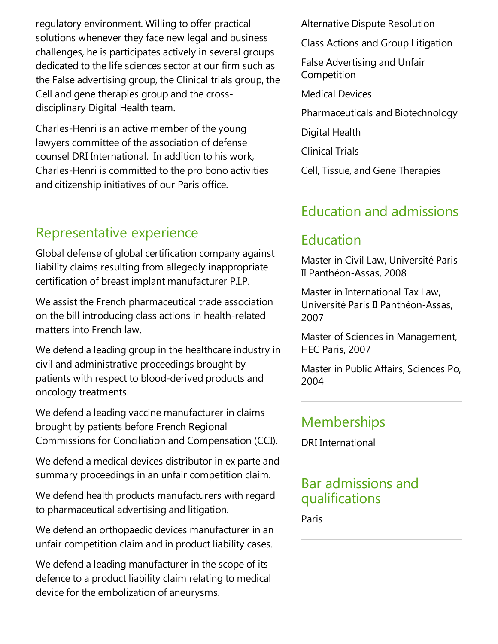regulatory environment. Willing to offer practical solutions whenever they face new legal and business challenges, he is participates actively in several groups dedicated to the life sciences sector at our firm such as the False advertising group, the Clinical trials group, the Cell and gene therapies group and the crossdisciplinary Digital Health team.

Charles-Henri is an active member of the young lawyers committee of the association of defense counsel DRI International. In addition to his work, Charles-Henri is committed to the pro bono activities and citizenship initiatives of our Paris office.

#### Representative experience

Global defense of global certification company against liability claims resulting from allegedly inappropriate certification of breast implant manufacturer P.I.P.

We assist the French pharmaceutical trade association on the bill introducing class actions in health-related matters into French law.

We defend a leading group in the healthcare industry in civil and administrative proceedings brought by patients with respect to blood-derived products and oncology treatments.

We defend a leading vaccine manufacturer in claims brought by patients before French Regional Commissions for Conciliation and Compensation (CCI).

We defend a medical devices distributor in ex parte and summary proceedings in an unfair competition claim.

We defend health products manufacturers with regard to pharmaceutical advertising and litigation.

We defend an orthopaedic devices manufacturer in an unfair competition claim and in product liability cases.

We defend a leading manufacturer in the scope of its defence to a product liability claim relating to medical device for the embolization of aneurysms.

Alternative Dispute Resolution

Class Actions and Group Litigation

False Advertising and Unfair **Competition** 

Medical Devices

Pharmaceuticals and Biotechnology

Digital Health

**Clinical Trials** 

Cell, Tissue, and Gene Therapies

#### Education and admissions

#### Education

Master in Civil Law, Université Paris II Panthéon-Assas, 2008

Master in International Tax Law, Université Paris II Panthéon-Assas, 2007

Master of Sciences in Management, HEC Paris, 2007

Master in Public Affairs, Sciences Po, 2004

#### Memberships

DRI International

#### Bar admissions and qualifications

Paris